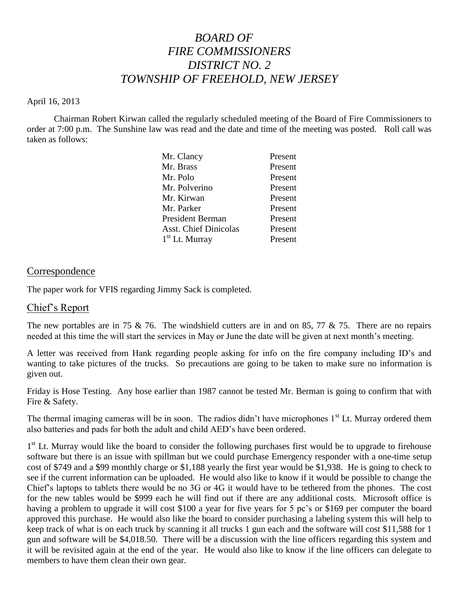# *BOARD OF FIRE COMMISSIONERS DISTRICT NO. 2 TOWNSHIP OF FREEHOLD, NEW JERSEY*

#### April 16, 2013

Chairman Robert Kirwan called the regularly scheduled meeting of the Board of Fire Commissioners to order at 7:00 p.m. The Sunshine law was read and the date and time of the meeting was posted. Roll call was taken as follows:

| Mr. Clancy                   | Present |
|------------------------------|---------|
| Mr. Brass                    | Present |
| Mr. Polo                     | Present |
| Mr. Polverino                | Present |
| Mr. Kirwan                   | Present |
| Mr. Parker                   | Present |
| <b>President Berman</b>      | Present |
| <b>Asst. Chief Dinicolas</b> | Present |
| $1st$ Lt. Murray             | Present |
|                              |         |

#### **Correspondence**

The paper work for VFIS regarding Jimmy Sack is completed.

#### Chief's Report

The new portables are in 75  $\&$  76. The windshield cutters are in and on 85, 77  $\&$  75. There are no repairs needed at this time the will start the services in May or June the date will be given at next month's meeting.

A letter was received from Hank regarding people asking for info on the fire company including ID's and wanting to take pictures of the trucks. So precautions are going to be taken to make sure no information is given out.

Friday is Hose Testing. Any hose earlier than 1987 cannot be tested Mr. Berman is going to confirm that with Fire & Safety.

The thermal imaging cameras will be in soon. The radios didn't have microphones 1<sup>st</sup> Lt. Murray ordered them also batteries and pads for both the adult and child AED's have been ordered.

1<sup>st</sup> Lt. Murray would like the board to consider the following purchases first would be to upgrade to firehouse software but there is an issue with spillman but we could purchase Emergency responder with a one-time setup cost of \$749 and a \$99 monthly charge or \$1,188 yearly the first year would be \$1,938. He is going to check to see if the current information can be uploaded. He would also like to know if it would be possible to change the Chief's laptops to tablets there would be no 3G or 4G it would have to be tethered from the phones. The cost for the new tables would be \$999 each he will find out if there are any additional costs. Microsoft office is having a problem to upgrade it will cost \$100 a year for five years for 5 pc's or \$169 per computer the board approved this purchase. He would also like the board to consider purchasing a labeling system this will help to keep track of what is on each truck by scanning it all trucks 1 gun each and the software will cost \$11,588 for 1 gun and software will be \$4,018.50. There will be a discussion with the line officers regarding this system and it will be revisited again at the end of the year. He would also like to know if the line officers can delegate to members to have them clean their own gear.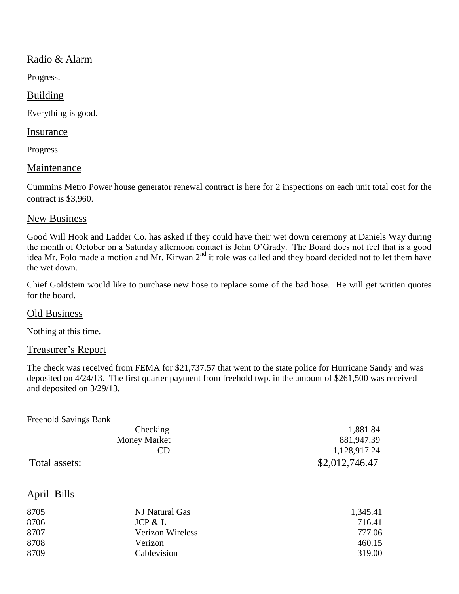## Radio & Alarm

Progress.

## Building

Everything is good.

#### Insurance

Progress.

## **Maintenance**

Cummins Metro Power house generator renewal contract is here for 2 inspections on each unit total cost for the contract is \$3,960.

## New Business

Good Will Hook and Ladder Co. has asked if they could have their wet down ceremony at Daniels Way during the month of October on a Saturday afternoon contact is John O'Grady. The Board does not feel that is a good idea Mr. Polo made a motion and Mr. Kirwan 2<sup>nd</sup> it role was called and they board decided not to let them have the wet down.

Chief Goldstein would like to purchase new hose to replace some of the bad hose. He will get written quotes for the board.

## Old Business

Nothing at this time.

## Treasurer's Report

The check was received from FEMA for \$21,737.57 that went to the state police for Hurricane Sandy and was deposited on 4/24/13. The first quarter payment from freehold twp. in the amount of \$261,500 was received and deposited on 3/29/13.

| Freehold Savings Bank |                  |                |  |
|-----------------------|------------------|----------------|--|
|                       | Checking         | 1,881.84       |  |
| <b>Money Market</b>   |                  | 881,947.39     |  |
|                       | <b>CD</b>        | 1,128,917.24   |  |
| Total assets:         |                  | \$2,012,746.47 |  |
| April Bills           |                  |                |  |
| 8705                  | NJ Natural Gas   | 1,345.41       |  |
| 8706                  | JCP & L          | 716.41         |  |
| 8707                  | Verizon Wireless | 777.06         |  |
| 8708                  | Verizon          | 460.15         |  |
| 8709                  | Cablevision      | 319.00         |  |